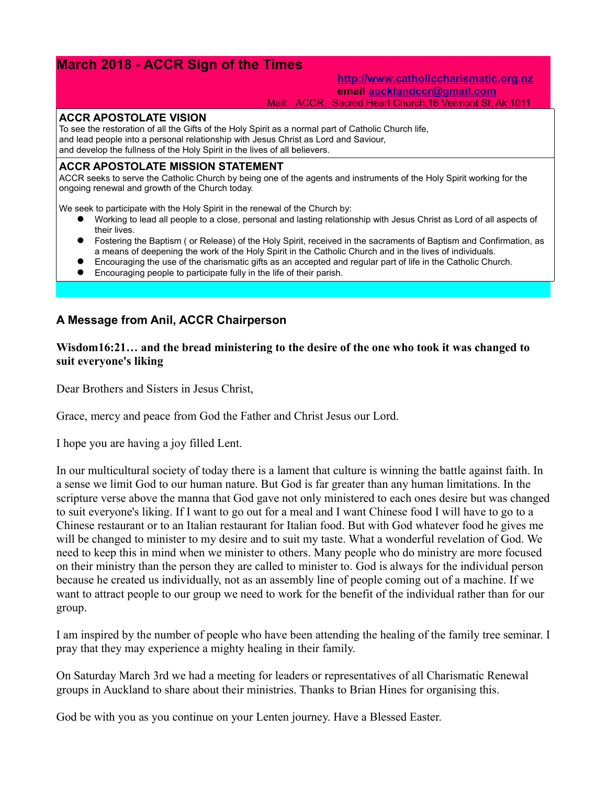# **March 2018 - ACCR Sign of the Times**

## **[http://www.catholiccharismatic.org.nz](http://www.catholiccharismatic.org.nz/) email [aucklandccr@gmail.com](mailto:aucklandccr@gmail.com)**

Mail: ACCR, Sacred Heart Church,16 Vermont St, Ak 1011

#### **ACCR APOSTOLATE VISION**

To see the restoration of all the Gifts of the Holy Spirit as a normal part of Catholic Church life, and lead people into a personal relationship with Jesus Christ as Lord and Saviour, and develop the fullness of the Holy Spirit in the lives of all believers.

## **ACCR APOSTOLATE MISSION STATEMENT**

ACCR seeks to serve the Catholic Church by being one of the agents and instruments of the Holy Spirit working for the ongoing renewal and growth of the Church today.

We seek to participate with the Holy Spirit in the renewal of the Church by:

- Working to lead all people to a close, personal and lasting relationship with Jesus Christ as Lord of all aspects of their lives.
- Fostering the Baptism ( or Release) of the Holy Spirit, received in the sacraments of Baptism and Confirmation, as a means of deepening the work of the Holy Spirit in the Catholic Church and in the lives of individuals.
- Encouraging the use of the charismatic gifts as an accepted and regular part of life in the Catholic Church.
- Encouraging people to participate fully in the life of their parish.

## **A Message from Anil, ACCR Chairperson**

## **Wisdom16:21… and the bread ministering to the desire of the one who took it was changed to suit everyone's liking**

Dear Brothers and Sisters in Jesus Christ,

Grace, mercy and peace from God the Father and Christ Jesus our Lord.

I hope you are having a joy filled Lent.

In our multicultural society of today there is a lament that culture is winning the battle against faith. In a sense we limit God to our human nature. But God is far greater than any human limitations. In the scripture verse above the manna that God gave not only ministered to each ones desire but was changed to suit everyone's liking. If I want to go out for a meal and I want Chinese food I will have to go to a Chinese restaurant or to an Italian restaurant for Italian food. But with God whatever food he gives me will be changed to minister to my desire and to suit my taste. What a wonderful revelation of God. We need to keep this in mind when we minister to others. Many people who do ministry are more focused on their ministry than the person they are called to minister to. God is always for the individual person because he created us individually, not as an assembly line of people coming out of a machine. If we want to attract people to our group we need to work for the benefit of the individual rather than for our group.

I am inspired by the number of people who have been attending the healing of the family tree seminar. I pray that they may experience a mighty healing in their family.

On Saturday March 3rd we had a meeting for leaders or representatives of all Charismatic Renewal groups in Auckland to share about their ministries. Thanks to Brian Hines for organising this.

God be with you as you continue on your Lenten journey. Have a Blessed Easter.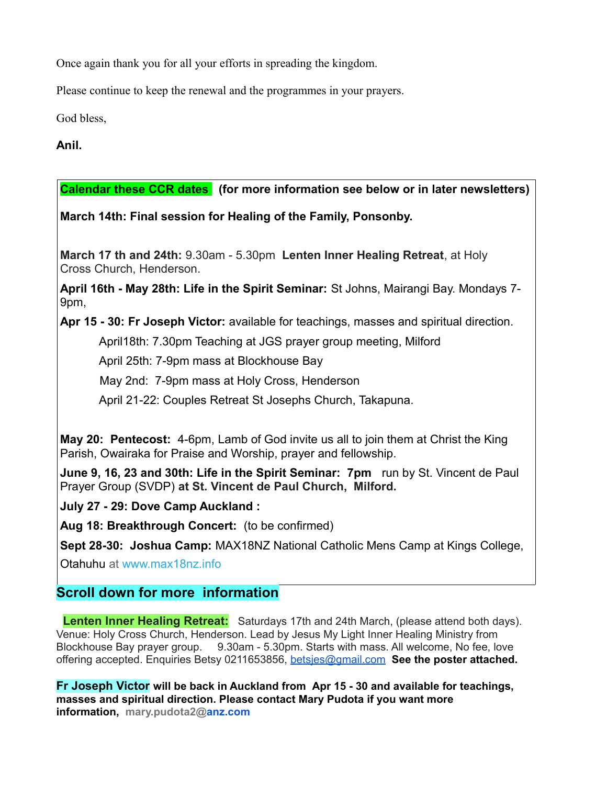Once again thank you for all your efforts in spreading the kingdom.

Please continue to keep the renewal and the programmes in your prayers.

God bless,

# **Anil.**

**Calendar these CCR dates (for more information see below or in later newsletters)**

**March 14th: Final session for Healing of the Family, Ponsonby.** 

**March 17 th and 24th:** 9.30am - 5.30pm **Lenten Inner Healing Retreat**, at Holy Cross Church, Henderson.

**April 16th - May 28th: Life in the Spirit Seminar:** St Johns, Mairangi Bay. Mondays 7- 9pm,

**Apr 15 - 30: Fr Joseph Victor:** available for teachings, masses and spiritual direction.

April18th: 7.30pm Teaching at JGS prayer group meeting, Milford

April 25th: 7-9pm mass at Blockhouse Bay

May 2nd: 7-9pm mass at Holy Cross, Henderson

April 21-22: Couples Retreat St Josephs Church, Takapuna.

**May 20: Pentecost:** 4-6pm, Lamb of God invite us all to join them at Christ the King Parish, Owairaka for Praise and Worship, prayer and fellowship.

**June 9, 16, 23 and 30th: Life in the Spirit Seminar: 7pm** run by St. Vincent de Paul Prayer Group (SVDP) **at St. Vincent de Paul Church, Milford.**

**July 27 - 29: Dove Camp Auckland :** 

**Aug 18: Breakthrough Concert:** (to be confirmed)

**Sept 28-30: Joshua Camp:** MAX18NZ National Catholic Mens Camp at Kings College,

Otahuhu at [www.max18nz.info](https://max18nz.us11.list-manage.com/track/click?u=e18eab0c2ef3f49b33b96ee7b&id=1c847e9037&e=b79ca322dc)

# **Scroll down for more information**

**Lenten Inner Healing Retreat:** Saturdays 17th and 24th March, (please attend both days). Venue: Holy Cross Church, Henderson. Lead by Jesus My Light Inner Healing Ministry from Blockhouse Bay prayer group. 9.30am - 5.30pm. Starts with mass. All welcome, No fee, love offering accepted. Enquiries Betsy 0211653856, [betsjes@gmail.com](mailto:betsjes@gmail.com) **See the poster attached.**

**Fr Joseph Victor will be back in Auckland from Apr 15 - 30 and available for teachings, masses and spiritual direction. Please contact Mary Pudota if you want more information, mary.pudota2[@anz.com](http://anz.com/)**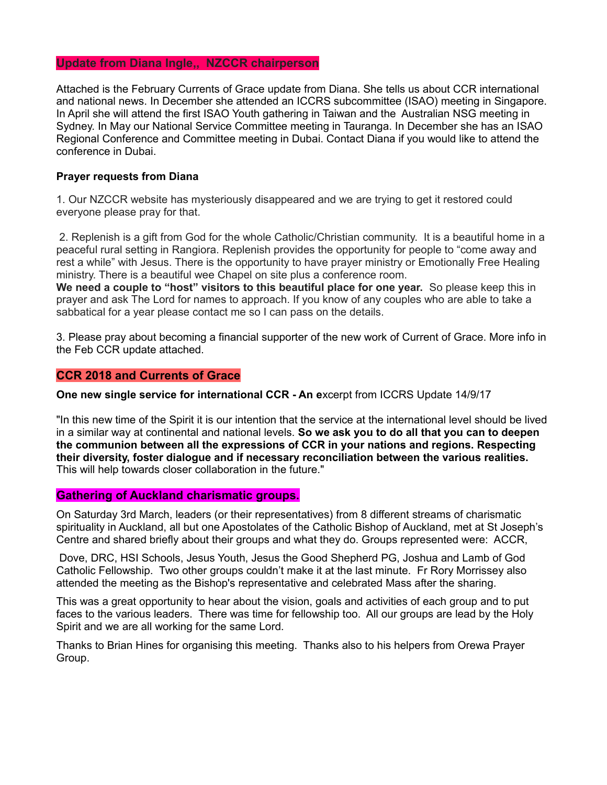#### **Update from Diana Ingle,, NZCCR chairperson**

Attached is the February Currents of Grace update from Diana. She tells us about CCR international and national news. In December she attended an ICCRS subcommittee (ISAO) meeting in Singapore. In April she will attend the first ISAO Youth gathering in Taiwan and the Australian NSG meeting in Sydney. In May our National Service Committee meeting in Tauranga. In December she has an ISAO Regional Conference and Committee meeting in Dubai. Contact Diana if you would like to attend the conference in Dubai.

#### **Prayer requests from Diana**

1. Our NZCCR website has mysteriously disappeared and we are trying to get it restored could everyone please pray for that.

 2. Replenish is a gift from God for the whole Catholic/Christian community. It is a beautiful home in a peaceful rural setting in Rangiora. Replenish provides the opportunity for people to "come away and rest a while" with Jesus. There is the opportunity to have prayer ministry or Emotionally Free Healing ministry. There is a beautiful wee Chapel on site plus a conference room.

**We need a couple to "host" visitors to this beautiful place for one year.** So please keep this in prayer and ask The Lord for names to approach. If you know of any couples who are able to take a sabbatical for a year please contact me so I can pass on the details.

3. Please pray about becoming a financial supporter of the new work of Current of Grace. More info in the Feb CCR update attached.

#### **CCR 2018 and Currents of Grace**

**One new single service for international CCR - An e**xcerpt from ICCRS Update 14/9/17

"In this new time of the Spirit it is our intention that the service at the international level should be lived in a similar way at continental and national levels. **So we ask you to do all that you can to deepen the communion between all the expressions of CCR in your nations and regions. Respecting their diversity, foster dialogue and if necessary reconciliation between the various realities.** This will help towards closer collaboration in the future."

#### **Gathering of Auckland charismatic groups.**

On Saturday 3rd March, leaders (or their representatives) from 8 different streams of charismatic spirituality in Auckland, all but one Apostolates of the Catholic Bishop of Auckland, met at St Joseph's Centre and shared briefly about their groups and what they do. Groups represented were: ACCR,

 Dove, DRC, HSI Schools, Jesus Youth, Jesus the Good Shepherd PG, Joshua and Lamb of God Catholic Fellowship. Two other groups couldn't make it at the last minute. Fr Rory Morrissey also attended the meeting as the Bishop's representative and celebrated Mass after the sharing.

This was a great opportunity to hear about the vision, goals and activities of each group and to put faces to the various leaders. There was time for fellowship too. All our groups are lead by the Holy Spirit and we are all working for the same Lord.

Thanks to Brian Hines for organising this meeting. Thanks also to his helpers from Orewa Prayer Group.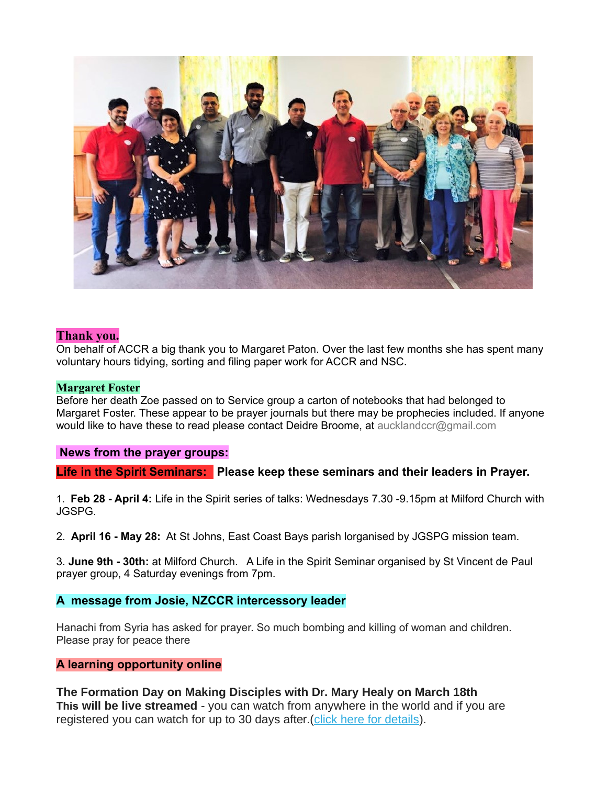

## **Thank you.**

On behalf of ACCR a big thank you to Margaret Paton. Over the last few months she has spent many voluntary hours tidying, sorting and filing paper work for ACCR and NSC.

#### **Margaret Foster**

Before her death Zoe passed on to Service group a carton of notebooks that had belonged to Margaret Foster. These appear to be prayer journals but there may be prophecies included. If anyone would like to have these to read please contact Deidre Broome, at aucklandccr@gmail.com

#### **News from the prayer groups:**

**Life in the Spirit Seminars: Please keep these seminars and their leaders in Prayer.**

1. **Feb 28 - April 4:** Life in the Spirit series of talks: Wednesdays 7.30 -9.15pm at Milford Church with JGSPG.

2. **April 16 - May 28:** At St Johns, East Coast Bays parish lorganised by JGSPG mission team.

3. **June 9th - 30th:** at Milford Church. A Life in the Spirit Seminar organised by St Vincent de Paul prayer group, 4 Saturday evenings from 7pm.

## **A message from Josie, NZCCR intercessory leader**

Hanachi from Syria has asked for prayer. So much bombing and killing of woman and children. Please pray for peace there

## **A learning opportunity online**

**The Formation Day on Making Disciples with Dr. Mary Healy on March 18th This will be live streamed** - you can watch from anywhere in the world and if you are registered you can watch for up to 30 days after. [\(click here for details\)](https://themassbox.us14.list-manage.com/track/click?u=1fdc1eb3f92b8e01961a2d23d&id=b17a596222&e=14655962d0).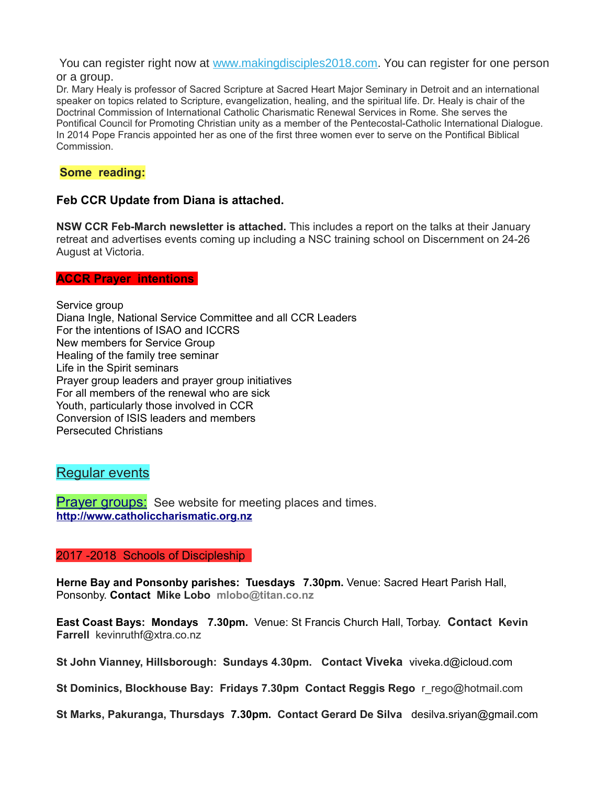You can register right now at [www.makingdisciples2018.com.](https://themassbox.us14.list-manage.com/track/click?u=1fdc1eb3f92b8e01961a2d23d&id=e20c8be5e2&e=14655962d0) You can register for one person or a group.

Dr. Mary Healy is professor of Sacred Scripture at Sacred Heart Major Seminary in Detroit and an international speaker on topics related to Scripture, evangelization, healing, and the spiritual life. Dr. Healy is chair of the Doctrinal Commission of International Catholic Charismatic Renewal Services in Rome. She serves the Pontifical Council for Promoting Christian unity as a member of the Pentecostal-Catholic International Dialogue. In 2014 Pope Francis appointed her as one of the first three women ever to serve on the Pontifical Biblical Commission.

## **Some reading:**

## **Feb CCR Update from Diana is attached.**

**NSW CCR Feb-March newsletter is attached.** This includes a report on the talks at their January retreat and advertises events coming up including a NSC training school on Discernment on 24-26 August at Victoria.

## **ACCR Prayer intentions**

Service group Diana Ingle, National Service Committee and all CCR Leaders For the intentions of ISAO and ICCRS New members for Service Group Healing of the family tree seminar Life in the Spirit seminars Prayer group leaders and prayer group initiatives For all members of the renewal who are sick Youth, particularly those involved in CCR Conversion of ISIS leaders and members Persecuted Christians

## Regular events

**Prayer groups:** See website for meeting places and times. **[http://www.catholiccharismatic.org.nz](http://www.catholiccharismatic.org.nz/)**

#### 2017 -2018 Schools of Discipleship

**Herne Bay and Ponsonby parishes: Tuesdays 7.30pm.** Venue: Sacred Heart Parish Hall, Ponsonby. **Contact Mike Lobo mlobo@titan.co.nz**

**East Coast Bays: Mondays 7.30pm.** Venue: St Francis Church Hall, Torbay. **Contact Kevin Farrell** [kevinruthf@xtra.co.nz](mailto:kevinruthf@xtra.co.nz)

**St John Vianney, Hillsborough: Sundays 4.30pm. Contact Viveka** viveka.d@icloud.com

**St Dominics, Blockhouse Bay: Fridays 7.30pm Contact Reggis Rego** r\_rego@hotmail.com

**St Marks, Pakuranga, Thursdays 7.30pm. Contact Gerard De Silva** desilva.sriyan@gmail.com